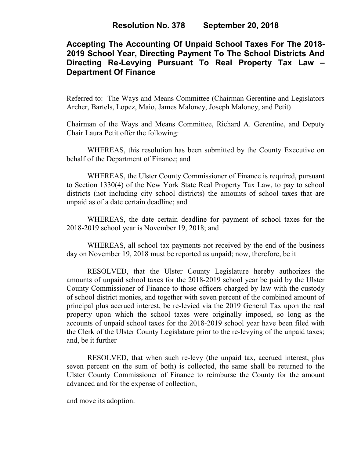# **Accepting The Accounting Of Unpaid School Taxes For The 2018- 2019 School Year, Directing Payment To The School Districts And Directing Re-Levying Pursuant To Real Property Tax Law – Department Of Finance**

Referred to: The Ways and Means Committee (Chairman Gerentine and Legislators Archer, Bartels, Lopez, Maio, James Maloney, Joseph Maloney, and Petit)

Chairman of the Ways and Means Committee, Richard A. Gerentine, and Deputy Chair Laura Petit offer the following:

WHEREAS, this resolution has been submitted by the County Executive on behalf of the Department of Finance; and

WHEREAS, the Ulster County Commissioner of Finance is required, pursuant to Section 1330(4) of the New York State Real Property Tax Law, to pay to school districts (not including city school districts) the amounts of school taxes that are unpaid as of a date certain deadline; and

WHEREAS, the date certain deadline for payment of school taxes for the 2018-2019 school year is November 19, 2018; and

WHEREAS, all school tax payments not received by the end of the business day on November 19, 2018 must be reported as unpaid; now, therefore, be it

RESOLVED, that the Ulster County Legislature hereby authorizes the amounts of unpaid school taxes for the 2018-2019 school year be paid by the Ulster County Commissioner of Finance to those officers charged by law with the custody of school district monies, and together with seven percent of the combined amount of principal plus accrued interest, be re-levied via the 2019 General Tax upon the real property upon which the school taxes were originally imposed, so long as the accounts of unpaid school taxes for the 2018-2019 school year have been filed with the Clerk of the Ulster County Legislature prior to the re-levying of the unpaid taxes; and, be it further

RESOLVED, that when such re-levy (the unpaid tax, accrued interest, plus seven percent on the sum of both) is collected, the same shall be returned to the Ulster County Commissioner of Finance to reimburse the County for the amount advanced and for the expense of collection,

and move its adoption.